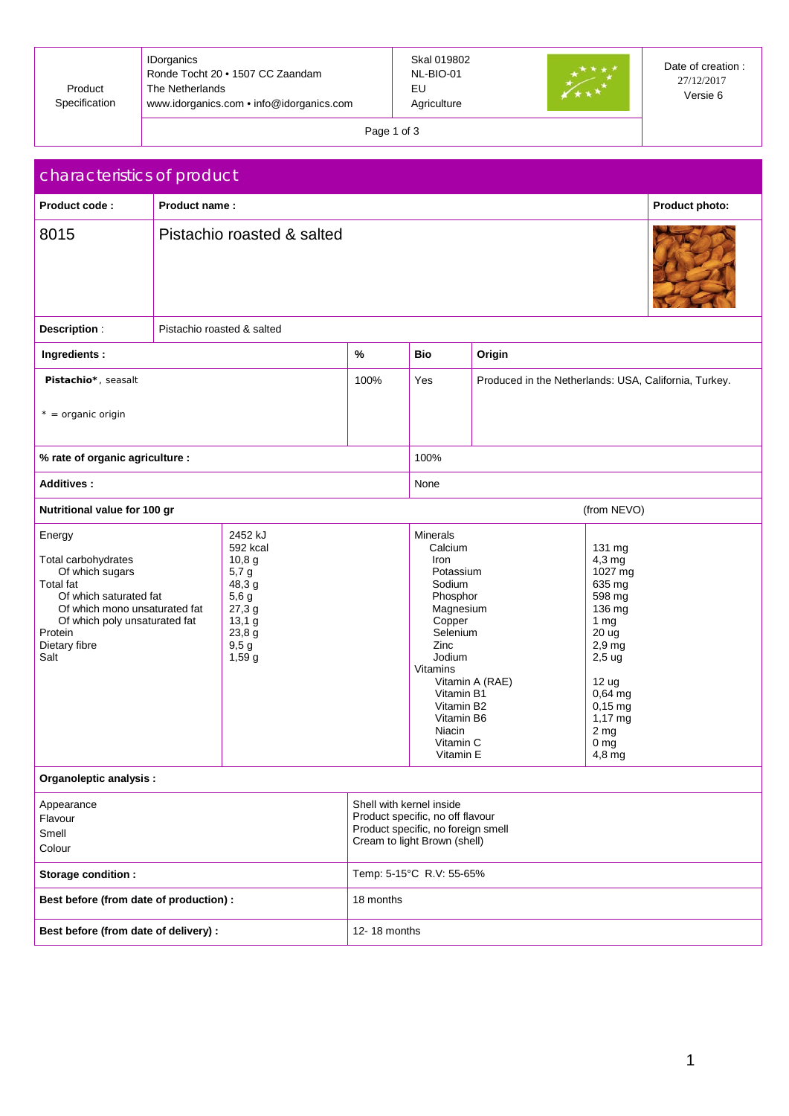| Product<br>Specification | <b>IDorganics</b><br>Ronde Tocht 20 • 1507 CC Zaandam<br>The Netherlands<br>www.idorganics.com • info@idorganics.com | Skal 019802<br>NL-BIO-01<br>EU<br>Agriculture | Date of creation :<br>27/12/2017<br>Versie 6 |
|--------------------------|----------------------------------------------------------------------------------------------------------------------|-----------------------------------------------|----------------------------------------------|
|                          |                                                                                                                      |                                               |                                              |

Page 1 of 3

| characteristics of product                                                                                                                                                                                                                                                                                    |                            |  |                                                                                                                                                                                                               |                          |                                                                                                                                                                                                             |                                                       |  |  |
|---------------------------------------------------------------------------------------------------------------------------------------------------------------------------------------------------------------------------------------------------------------------------------------------------------------|----------------------------|--|---------------------------------------------------------------------------------------------------------------------------------------------------------------------------------------------------------------|--------------------------|-------------------------------------------------------------------------------------------------------------------------------------------------------------------------------------------------------------|-------------------------------------------------------|--|--|
| Product code:                                                                                                                                                                                                                                                                                                 | Product name:              |  |                                                                                                                                                                                                               |                          |                                                                                                                                                                                                             | Product photo:                                        |  |  |
| 8015                                                                                                                                                                                                                                                                                                          | Pistachio roasted & salted |  |                                                                                                                                                                                                               |                          |                                                                                                                                                                                                             |                                                       |  |  |
| Description:                                                                                                                                                                                                                                                                                                  | Pistachio roasted & salted |  |                                                                                                                                                                                                               |                          |                                                                                                                                                                                                             |                                                       |  |  |
| Ingredients:                                                                                                                                                                                                                                                                                                  |                            |  | $\%$                                                                                                                                                                                                          | Bio                      | Origin                                                                                                                                                                                                      |                                                       |  |  |
| Pistachio*, seasalt                                                                                                                                                                                                                                                                                           |                            |  | 100%                                                                                                                                                                                                          | Yes                      |                                                                                                                                                                                                             | Produced in the Netherlands: USA, California, Turkey. |  |  |
| $* =$ organic origin                                                                                                                                                                                                                                                                                          |                            |  |                                                                                                                                                                                                               |                          |                                                                                                                                                                                                             |                                                       |  |  |
| % rate of organic agriculture :                                                                                                                                                                                                                                                                               |                            |  |                                                                                                                                                                                                               | 100%                     |                                                                                                                                                                                                             |                                                       |  |  |
| Additives:                                                                                                                                                                                                                                                                                                    |                            |  |                                                                                                                                                                                                               | None                     |                                                                                                                                                                                                             |                                                       |  |  |
| Nutritional value for 100 gr                                                                                                                                                                                                                                                                                  |                            |  |                                                                                                                                                                                                               |                          |                                                                                                                                                                                                             | (from NEVO)                                           |  |  |
| 2452 kJ<br>Energy<br>592 kcal<br>Total carbohydrates<br>10,8 g<br>Of which sugars<br>5,7g<br><b>Total fat</b><br>48,3 g<br>Of which saturated fat<br>5,6g<br>Of which mono unsaturated fat<br>27,3g<br>Of which poly unsaturated fat<br>13,1 g<br>Protein<br>23,8 g<br>Dietary fibre<br>9,5g<br>Salt<br>1,59g |                            |  | Minerals<br>Calcium<br>Iron<br>Potassium<br>Sodium<br>Phosphor<br>Magnesium<br>Copper<br>Selenium<br>Zinc<br>Jodium<br>Vitamins<br>Vitamin B1<br>Vitamin B2<br>Vitamin B6<br>Niacin<br>Vitamin C<br>Vitamin E | Vitamin A (RAE)          | 131 mg<br>$4,3$ mg<br>1027 mg<br>635 mg<br>598 mg<br>136 mg<br>1 <sub>mg</sub><br>20 ug<br>$2,9$ mg<br>$2,5$ ug<br>12 ug<br>0,64 mg<br>$0,15$ mg<br>1,17 mg<br>2 <sub>mg</sub><br>0 <sub>mg</sub><br>4,8 mg |                                                       |  |  |
| Organoleptic analysis :                                                                                                                                                                                                                                                                                       |                            |  |                                                                                                                                                                                                               |                          |                                                                                                                                                                                                             |                                                       |  |  |
| Appearance<br>Flavour<br>Smell<br>Colour                                                                                                                                                                                                                                                                      |                            |  | Shell with kernel inside<br>Product specific, no off flavour<br>Product specific, no foreign smell<br>Cream to light Brown (shell)                                                                            |                          |                                                                                                                                                                                                             |                                                       |  |  |
| Storage condition :                                                                                                                                                                                                                                                                                           |                            |  |                                                                                                                                                                                                               | Temp: 5-15°C R.V: 55-65% |                                                                                                                                                                                                             |                                                       |  |  |
| Best before (from date of production) :                                                                                                                                                                                                                                                                       |                            |  | 18 months                                                                                                                                                                                                     |                          |                                                                                                                                                                                                             |                                                       |  |  |
| Best before (from date of delivery) :                                                                                                                                                                                                                                                                         |                            |  | 12-18 months                                                                                                                                                                                                  |                          |                                                                                                                                                                                                             |                                                       |  |  |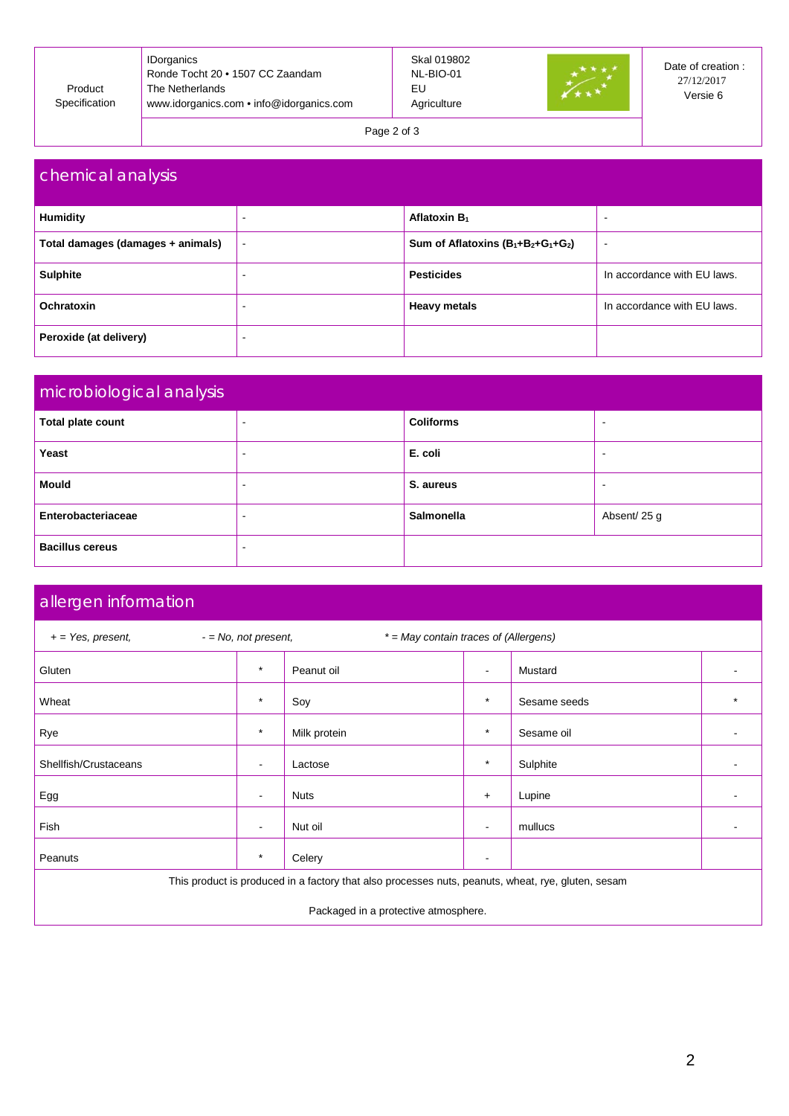| Product<br>Specification | <b>IDorganics</b><br>Ronde Tocht 20 • 1507 CC Zaandam<br>The Netherlands<br>www.idorganics.com • info@idorganics.com | Skal 019802<br>NL-BIO-01<br>EU<br>Agriculture |  | Date of creation:<br>27/12/2017<br>Versie 6 |
|--------------------------|----------------------------------------------------------------------------------------------------------------------|-----------------------------------------------|--|---------------------------------------------|
|--------------------------|----------------------------------------------------------------------------------------------------------------------|-----------------------------------------------|--|---------------------------------------------|

Page 2 of 3

| chemical analysis                 |                          |                                       |                             |  |  |  |
|-----------------------------------|--------------------------|---------------------------------------|-----------------------------|--|--|--|
| <b>Humidity</b>                   |                          | Aflatoxin B <sub>1</sub>              | $\overline{\phantom{a}}$    |  |  |  |
| Total damages (damages + animals) | $\overline{\phantom{a}}$ | Sum of Aflatoxins $(B_1+B_2+G_1+G_2)$ |                             |  |  |  |
| <b>Sulphite</b>                   |                          | <b>Pesticides</b>                     | In accordance with EU laws. |  |  |  |
| Ochratoxin                        |                          | <b>Heavy metals</b>                   | In accordance with EU laws. |  |  |  |
| Peroxide (at delivery)            |                          |                                       |                             |  |  |  |

| microbiological analysis |                          |                   |                          |  |  |
|--------------------------|--------------------------|-------------------|--------------------------|--|--|
| Total plate count        | $\overline{\phantom{0}}$ | <b>Coliforms</b>  | $\overline{\phantom{a}}$ |  |  |
| Yeast                    |                          | E. coli           |                          |  |  |
| <b>Mould</b>             |                          | S. aureus         | -                        |  |  |
| Enterobacteriaceae       | $\overline{\phantom{0}}$ | <b>Salmonella</b> | Absent/25 g              |  |  |
| <b>Bacillus cereus</b>   | $\overline{\phantom{0}}$ |                   |                          |  |  |

## allergen information

| $-$ = No, not present,<br>* = May contain traces of (Allergens)<br>$+=$ Yes, present,              |                          |              |                |              |         |  |
|----------------------------------------------------------------------------------------------------|--------------------------|--------------|----------------|--------------|---------|--|
| Gluten                                                                                             | $\star$                  | Peanut oil   | $\sim$         | Mustard      |         |  |
| Wheat                                                                                              | $\star$                  | Soy          | $\star$        | Sesame seeds | $\star$ |  |
| Rye                                                                                                | $\star$                  | Milk protein | $\star$        | Sesame oil   |         |  |
| Shellfish/Crustaceans                                                                              | $\blacksquare$           | Lactose      | $\star$        | Sulphite     |         |  |
| Egg                                                                                                | $\overline{\phantom{a}}$ | <b>Nuts</b>  | $+$            | Lupine       |         |  |
| Fish                                                                                               | $\blacksquare$           | Nut oil      | $\blacksquare$ | mullucs      |         |  |
| Peanuts                                                                                            | $\star$                  | Celery       | $\sim$         |              |         |  |
| This product is produced in a factory that also processes nuts, peanuts, wheat, rye, gluten, sesam |                          |              |                |              |         |  |
| Packaged in a protective atmosphere.                                                               |                          |              |                |              |         |  |